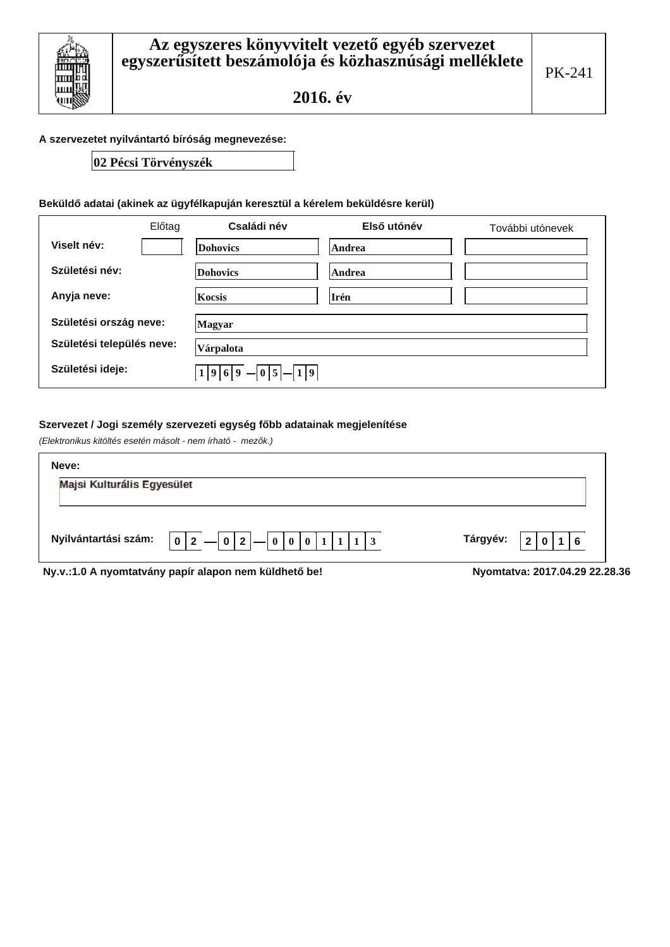

### A szervezetet nyilvántartó bíróság megnevezése:

### 02 Pécsi Törvényszék

### Beküldő adatai (akinek az ügyfélkapuján keresztül a kérelem beküldésre kerül)

|                           | Előtag | Családi név                 | Első utónév | További utónevek |
|---------------------------|--------|-----------------------------|-------------|------------------|
| Viselt név:               |        | <b>Dohovics</b>             | Andrea      |                  |
| Születési név:            |        | <b>Dohovics</b>             | Andrea      |                  |
| Anyja neve:               |        | Kocsis                      | Irén        |                  |
| Születési ország neve:    |        | Magyar                      |             |                  |
| Születési település neve: |        | Várpalota                   |             |                  |
| Születési ideje:          |        | $1 9 6 9 $ - $0 5 $ - $1 9$ |             |                  |

### Szervezet / Jogi személy szervezeti egység főbb adatainak megjelenítése

(Elektronikus kitöltés esetén másolt - nem írható - mezők.)

| Neve:                      |                                                                      |                                |
|----------------------------|----------------------------------------------------------------------|--------------------------------|
| Majsi Kulturális Egyesület |                                                                      |                                |
|                            | Nyilvántartási szám: $ 0 2 $   0   2   0   0   0   0   1   1   1   3 | Tárgyév: $ 2 0 1 6$            |
|                            | Ny.y.:1.0 A nyomtatyány papír alapon nem küldhető be!                | Nyomtatya: 2017.04.29 22.28.36 |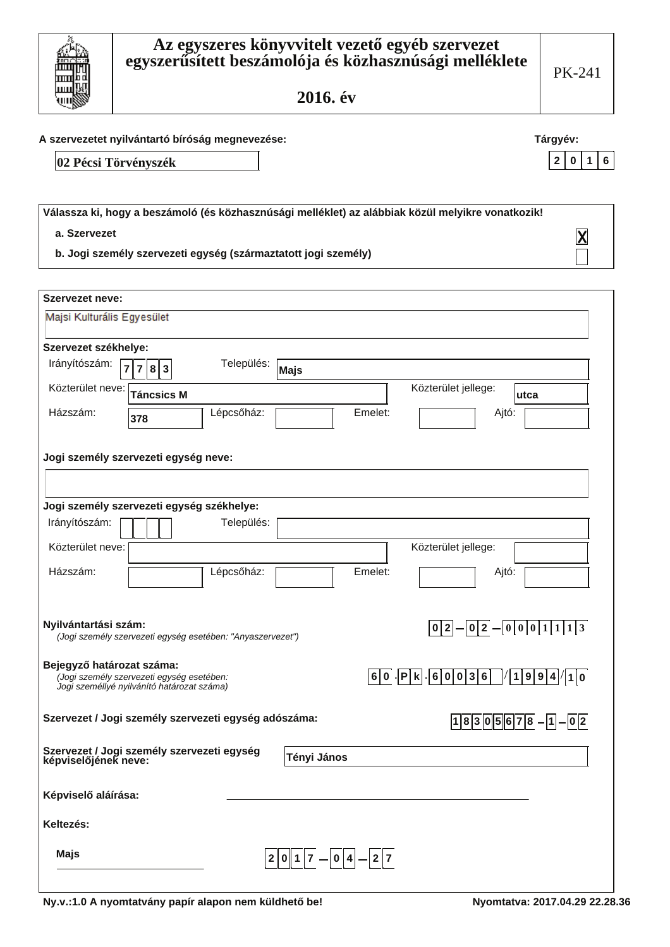### A szervezetet nyilvántartó bíróság megnevezése:

02 Pécsi Törvényszék

hm ىسا

ш

| Válassza ki, hogy a beszámoló (és közhasznúsági melléklet) az alábbiak közül melyikre vonatkozik! |                         |
|---------------------------------------------------------------------------------------------------|-------------------------|
| a. Szervezet                                                                                      | $\overline{\mathsf{X}}$ |
| b. Jogi személy szervezeti egység (származtatott jogi személy)                                    |                         |

| <b>Szervezet neve:</b>                                             |                                                                                         |                |                                     |                                             |                                               |                                  |  |
|--------------------------------------------------------------------|-----------------------------------------------------------------------------------------|----------------|-------------------------------------|---------------------------------------------|-----------------------------------------------|----------------------------------|--|
| Majsi Kulturális Egyesület                                         |                                                                                         |                |                                     |                                             |                                               |                                  |  |
| Szervezet székhelye:                                               |                                                                                         |                |                                     |                                             |                                               |                                  |  |
| Irányítószám:                                                      | 7<br>8<br>3                                                                             | Település:     | Majs                                |                                             |                                               |                                  |  |
| Közterület neve:                                                   | <b>Táncsics M</b>                                                                       |                |                                     |                                             | Közterület jellege:                           | utca                             |  |
| Házszám:                                                           | 378                                                                                     | Lépcsőház:     |                                     | Emelet:                                     |                                               | Ajtó:                            |  |
| Jogi személy szervezeti egység neve:                               |                                                                                         |                |                                     |                                             |                                               |                                  |  |
|                                                                    |                                                                                         |                |                                     |                                             |                                               |                                  |  |
| Jogi személy szervezeti egység székhelye:                          |                                                                                         |                |                                     |                                             |                                               |                                  |  |
| Irányítószám:                                                      |                                                                                         | Település:     |                                     |                                             |                                               |                                  |  |
| Közterület neve:                                                   |                                                                                         |                |                                     |                                             | Közterület jellege:                           |                                  |  |
| Házszám:                                                           |                                                                                         | Lépcsőház:     |                                     | Emelet:                                     |                                               | Ajtó:                            |  |
| Nyilvántartási szám:                                               | (Jogi személy szervezeti egység esetében: "Anyaszervezet")                              |                |                                     |                                             |                                               | $ 0 2  -  0 2  -  0 0 0 1 1 1 3$ |  |
| Bejegyző határozat száma:                                          | (Jogi személy szervezeti egység esetében:<br>Jogi személlyé nyilvánító határozat száma) |                |                                     |                                             | $6 0 $ $ P k $ $ 6 0 0 3 6$   $ 1 9 9 4 1 0 $ |                                  |  |
| Szervezet / Jogi személy szervezeti egység adószáma:               |                                                                                         |                |                                     |                                             |                                               | $18305678 - 1 - 02$              |  |
| Szervezet / Jogi személy szervezeti egység<br>képviselőjének neve: |                                                                                         |                | Tényi János                         |                                             |                                               |                                  |  |
| Képviselő aláírása:                                                |                                                                                         |                |                                     |                                             |                                               |                                  |  |
| Keltezés:                                                          |                                                                                         |                |                                     |                                             |                                               |                                  |  |
| Majs                                                               |                                                                                         | 2 <sup>1</sup> | 0<br> 1 <br>$\overline{\mathbf{z}}$ | $\boldsymbol{0}$<br>$\mathbf{2}$<br> 4<br>7 |                                               |                                  |  |

Tárgyév: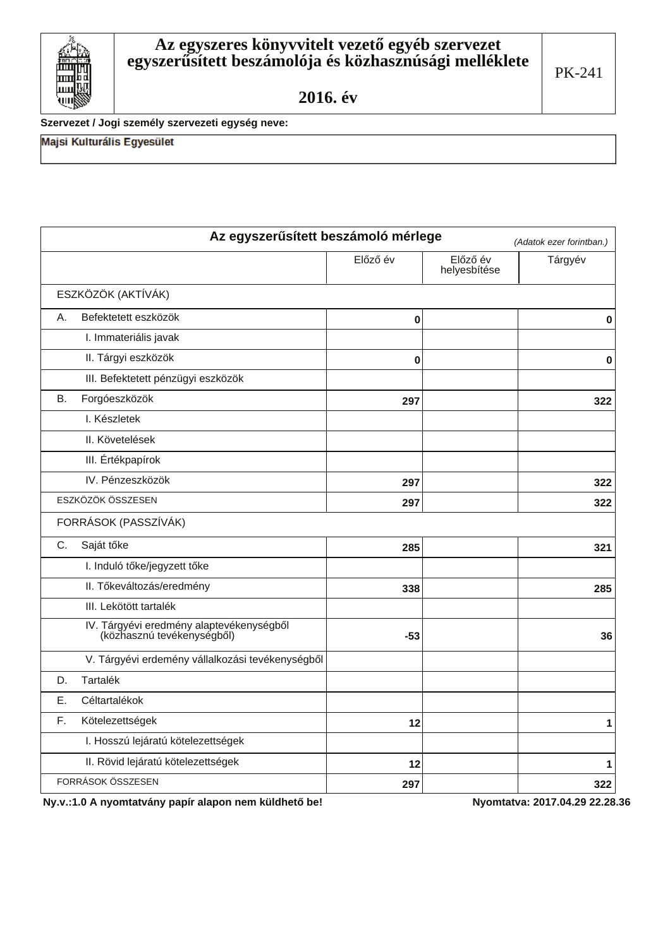Szervezet / Jogi személy szervezeti egység neve:

Majsi Kulturális Egyesület

Ш

| Az egyszerűsített beszámoló mérlege<br>(Adatok ezer forintban.)        |          |                          |         |  |
|------------------------------------------------------------------------|----------|--------------------------|---------|--|
|                                                                        | Előző év | Előző év<br>helyesbítése | Tárgyév |  |
| ESZKÖZÖK (AKTÍVÁK)                                                     |          |                          |         |  |
| Befektetett eszközök<br>А.                                             | 0        |                          | 0       |  |
| I. Immateriális javak                                                  |          |                          |         |  |
| II. Tárgyi eszközök                                                    | $\bf{0}$ |                          | 0       |  |
| III. Befektetett pénzügyi eszközök                                     |          |                          |         |  |
| Forgóeszközök<br>В.                                                    | 297      |                          | 322     |  |
| I. Készletek                                                           |          |                          |         |  |
| II. Követelések                                                        |          |                          |         |  |
| III. Értékpapírok                                                      |          |                          |         |  |
| IV. Pénzeszközök                                                       | 297      |                          | 322     |  |
| ESZKÖZÖK ÖSSZESEN                                                      | 297      |                          | 322     |  |
| FORRÁSOK (PASSZÍVÁK)                                                   |          |                          |         |  |
| Saját tőke<br>$C_{\cdot}$                                              | 285      |                          | 321     |  |
| I. Induló tőke/jegyzett tőke                                           |          |                          |         |  |
| II. Tőkeváltozás/eredmény                                              | 338      |                          | 285     |  |
| III. Lekötött tartalék                                                 |          |                          |         |  |
| IV. Tárgyévi eredmény alaptevékenységből<br>(közhasznú tevékenységből) | $-53$    |                          | 36      |  |
| V. Tárgyévi erdemény vállalkozási tevékenységből                       |          |                          |         |  |
| Tartalék<br>D.                                                         |          |                          |         |  |
| Céltartalékok<br>Ε.                                                    |          |                          |         |  |
| Kötelezettségek<br>F.                                                  | 12       |                          | 1       |  |
| I. Hosszú lejáratú kötelezettségek                                     |          |                          |         |  |
| II. Rövid lejáratú kötelezettségek                                     | 12       |                          | 1       |  |
| FORRÁSOK ÖSSZESEN                                                      | 297      |                          | 322     |  |

Ny.v.:1.0 A nyomtatvány papír alapon nem küldhető be!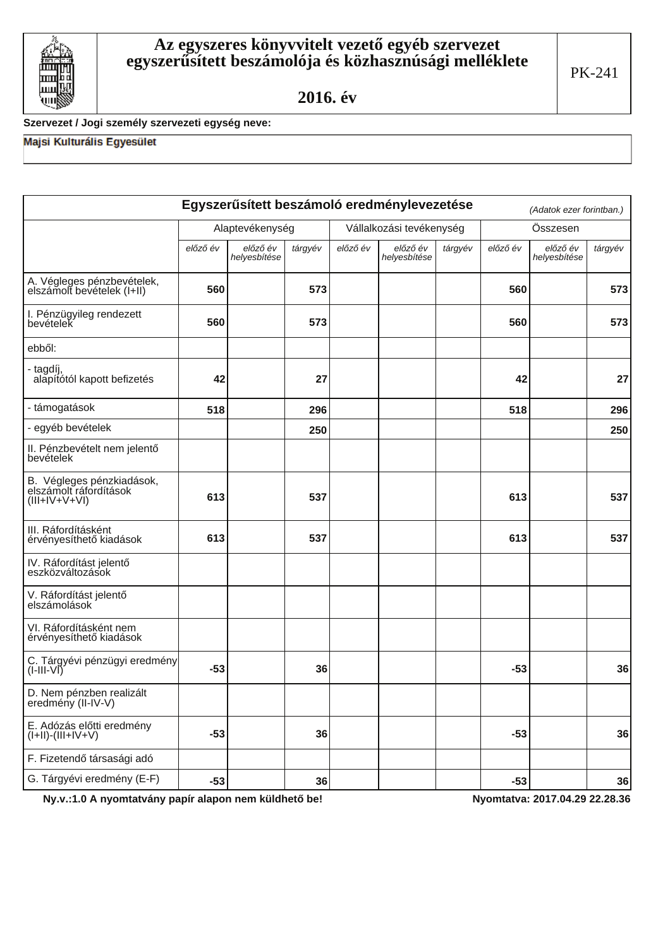

# Szervezet / Jogi személy szervezeti egység neve:

# Majsi Kulturális Egyesület

|                                                                       |          |                          |         |          | Egyszerűsített beszámoló eredménylevezetése |         |          | (Adatok ezer forintban.) |         |
|-----------------------------------------------------------------------|----------|--------------------------|---------|----------|---------------------------------------------|---------|----------|--------------------------|---------|
|                                                                       |          | Alaptevékenység          |         |          | Vállalkozási tevékenység                    |         | Összesen |                          |         |
|                                                                       | előző év | előző év<br>helyesbítése | tárgyév | előző év | előző év<br>helyesbítése                    | tárgyév | előző év | előző év<br>helyesbítése | tárgyév |
| A. Végleges pénzbevételek,<br>elszámolt bevételek (I+II)              | 560      |                          | 573     |          |                                             |         | 560      |                          | 573     |
| I. Pénzügyileg rendezett<br>bevételek                                 | 560      |                          | 573     |          |                                             |         | 560      |                          | 573     |
| ebből:                                                                |          |                          |         |          |                                             |         |          |                          |         |
| - tagdíj,<br>alapítótól kapott befizetés                              | 42       |                          | 27      |          |                                             |         | 42       |                          | 27      |
| - támogatások                                                         | 518      |                          | 296     |          |                                             |         | 518      |                          | 296     |
| - egyéb bevételek                                                     |          |                          | 250     |          |                                             |         |          |                          | 250     |
| II. Pénzbevételt nem jelentő<br>bevételek                             |          |                          |         |          |                                             |         |          |                          |         |
| B. Végleges pénzkiadások,<br>elszámolt ráfordítások<br>$(III+V+V+VI)$ | 613      |                          | 537     |          |                                             |         | 613      |                          | 537     |
| III. Ráfordításként<br>érvényesíthető kiadások                        | 613      |                          | 537     |          |                                             |         | 613      |                          | 537     |
| IV. Ráfordítást jelentő<br>eszközváltozások                           |          |                          |         |          |                                             |         |          |                          |         |
| V. Ráfordítást jelentő<br>elszámolások                                |          |                          |         |          |                                             |         |          |                          |         |
| VI. Ráfordításként nem<br>érvényesíthető kiadások                     |          |                          |         |          |                                             |         |          |                          |         |
| C. Tárgyévi pénzügyi eredmény<br>$(I-III-VI)$                         | $-53$    |                          | 36      |          |                                             |         | $-53$    |                          | 36      |
| D. Nem pénzben realizált<br>eredmény (II-IV-V)                        |          |                          |         |          |                                             |         |          |                          |         |
| E. Adózás előtti eredmény<br>$(I+II)-(III+IV+V)$                      | $-53$    |                          | 36      |          |                                             |         | $-53$    |                          | 36      |
| F. Fizetendő társasági adó                                            |          |                          |         |          |                                             |         |          |                          |         |
| G. Tárgyévi eredmény (E-F)                                            | $-53$    |                          | 36      |          |                                             |         | $-53$    |                          | 36      |

Ny.v.:1.0 A nyomtatvány papír alapon nem küldhető be!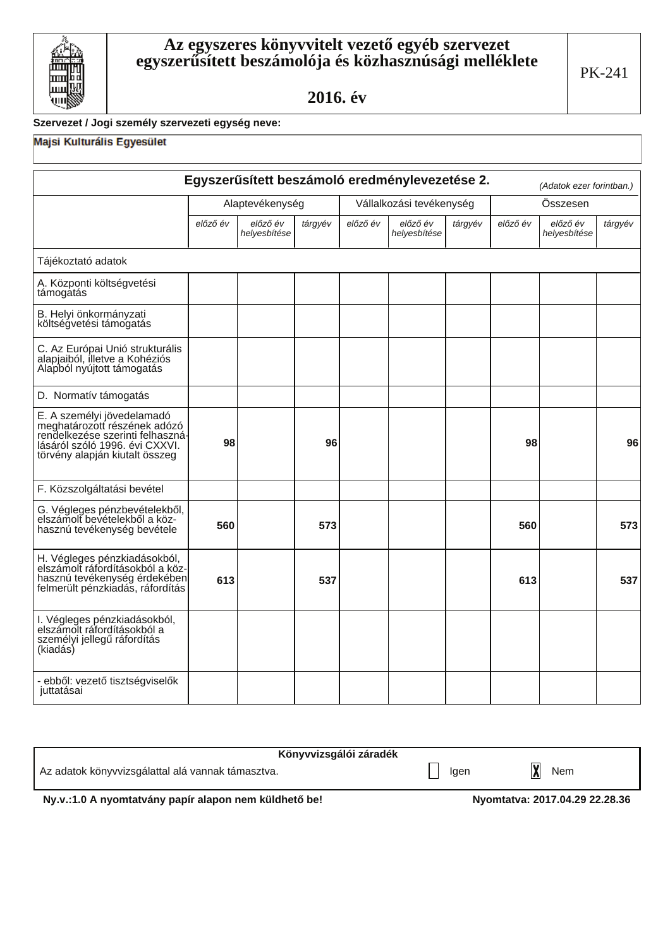

# Szervezet / Jogi személy szervezeti egység neve:

### Majsi Kulturális Egyesület

|                                                                                                                                                                    |          |                          |         |          | Egyszerűsített beszámoló eredménylevezetése 2. |         |          | (Adatok ezer forintban.) |         |
|--------------------------------------------------------------------------------------------------------------------------------------------------------------------|----------|--------------------------|---------|----------|------------------------------------------------|---------|----------|--------------------------|---------|
|                                                                                                                                                                    |          | Alaptevékenység          |         |          | Vállalkozási tevékenység                       |         |          | Összesen                 |         |
|                                                                                                                                                                    | előző év | előző év<br>helyesbítése | tárgyév | előző év | előző év<br>helyesbítése                       | tárgyév | előző év | előző év<br>helyesbítése | tárgyév |
| Tájékoztató adatok                                                                                                                                                 |          |                          |         |          |                                                |         |          |                          |         |
| A. Központi költségvetési<br>támogatás                                                                                                                             |          |                          |         |          |                                                |         |          |                          |         |
| B. Helyi önkormányzati<br>költségvetési támogatás                                                                                                                  |          |                          |         |          |                                                |         |          |                          |         |
| C. Az Európai Unió strukturális<br>alapjaiból, illetve a Kohéziós<br>Alapból nyújtott támogatás                                                                    |          |                          |         |          |                                                |         |          |                          |         |
| D. Normatív támogatás                                                                                                                                              |          |                          |         |          |                                                |         |          |                          |         |
| E. A személyi jövedelamadó<br>meghatározótt részének adózó<br>rendelkezése szerinti felhaszná-<br>lásáról szóló 1996. évi CXXVI.<br>törvény alapján kiutalt összeg | 98       |                          | 96      |          |                                                |         | 98       |                          | 96      |
| F. Közszolgáltatási bevétel                                                                                                                                        |          |                          |         |          |                                                |         |          |                          |         |
| G. Végleges pénzbevételekből,<br>elszámolt bevételekből a köz-<br>hasznú tevékenység bevétele                                                                      | 560      |                          | 573     |          |                                                |         | 560      |                          | 573     |
| H. Végleges pénzkiadásokból,<br>elszámolt ráfordításokból a köz-<br>hasznú tevékenység érdekében<br>felmerült pénzkiadás, ráfordítás                               | 613      |                          | 537     |          |                                                |         | 613      |                          | 537     |
| I. Végleges pénzkiadásokból,<br>elszámolt ráfordításokból a<br>személyi jellegű ráfordítás<br>(kiadás)                                                             |          |                          |         |          |                                                |         |          |                          |         |
| - ebből: vezető tisztségviselők<br>juttatásai                                                                                                                      |          |                          |         |          |                                                |         |          |                          |         |

| Könyvvizsgálói záradék                                |      |                                |
|-------------------------------------------------------|------|--------------------------------|
| Az adatok könyvvizsgálattal alá vannak támasztva.     | Igen | Nem                            |
| Ny.v.:1.0 A nyomtatvány papír alapon nem küldhető be! |      | Nyomtatya: 2017.04.29 22.28.36 |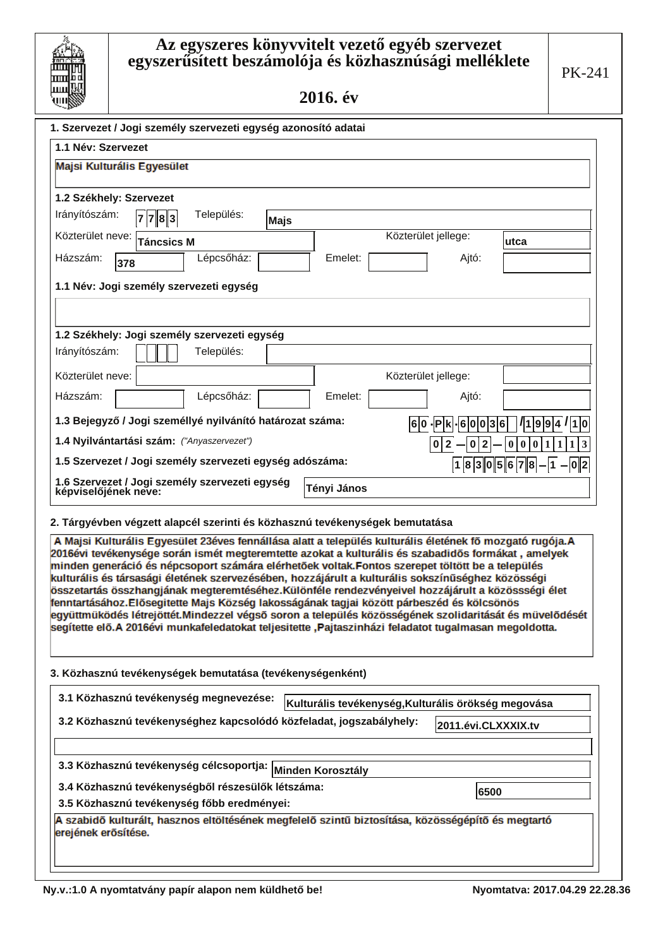# Az egyszeres könyvvitelt vezető egyéb szervezet<br>egyszerűsített beszámolója és közhasznúsági melléklete

2016. év

ш

| ∽_ໝ∾                                                                                                                                                                                                 |                                                    |                       |                               |
|------------------------------------------------------------------------------------------------------------------------------------------------------------------------------------------------------|----------------------------------------------------|-----------------------|-------------------------------|
| 1. Szervezet / Jogi személy szervezeti egység azonosító adatai                                                                                                                                       |                                                    |                       |                               |
| 1.1 Név: Szervezet                                                                                                                                                                                   |                                                    |                       |                               |
| Majsi Kulturális Egyesület                                                                                                                                                                           |                                                    |                       |                               |
|                                                                                                                                                                                                      |                                                    |                       |                               |
| 1.2 Székhely: Szervezet<br>Irányítószám:<br>Település:                                                                                                                                               |                                                    |                       |                               |
| 7 7 8 3<br>Majs                                                                                                                                                                                      |                                                    |                       |                               |
| Közterület neve:<br><b>Táncsics M</b>                                                                                                                                                                |                                                    | Közterület jellege:   | utca                          |
| Lépcsőház:<br>Házszám:<br>378                                                                                                                                                                        | Emelet:                                            | Ajtó:                 |                               |
| 1.1 Név: Jogi személy szervezeti egység                                                                                                                                                              |                                                    |                       |                               |
|                                                                                                                                                                                                      |                                                    |                       |                               |
|                                                                                                                                                                                                      |                                                    |                       |                               |
| 1.2 Székhely: Jogi személy szervezeti egység<br>Irányítószám:                                                                                                                                        |                                                    |                       |                               |
| Település:                                                                                                                                                                                           |                                                    |                       |                               |
| Közterület neve:                                                                                                                                                                                     |                                                    | Közterület jellege:   |                               |
| Házszám:<br>Lépcsőház:                                                                                                                                                                               | Emelet:                                            | Ajtó:                 |                               |
| 1.3 Bejegyző / Jogi személlyé nyilvánító határozat száma:                                                                                                                                            |                                                    | 6 0 - P k - 6 0 0 3 6 | $\frac{1}{9}9 4 1 1 0$        |
| 1.4 Nyilvántartási szám: ("Anyaszervezet")                                                                                                                                                           |                                                    | 0 2<br>0 2            | 0 0 0<br> 1 1<br>3<br>1       |
| 1.5 Szervezet / Jogi személy szervezeti egység adószáma:                                                                                                                                             |                                                    |                       | $ 1 8 3 0 5 6 7 8 - 1 - 0 2 $ |
| 1.6 Szervezet / Jogi személy szervezeti egység                                                                                                                                                       |                                                    |                       |                               |
| képviselőjének neve:                                                                                                                                                                                 | Tényi János                                        |                       |                               |
| 2. Tárgyévben végzett alapcél szerinti és közhasznú tevékenységek bemutatása                                                                                                                         |                                                    |                       |                               |
| A Majsi Kulturális Egyesület 23éves fennállása alatt a település kulturális életének fő mozgató rugója.A                                                                                             |                                                    |                       |                               |
| 2016évi tevékenysége során ismét megteremtette azokat a kulturális és szabadidős formákat, amelyek                                                                                                   |                                                    |                       |                               |
| minden generáció és népcsoport számára elérhetőek voltak.Fontos szerepet töltött be a település<br>kulturális és társasági életének szervezésében, hozzájárult a kulturális sokszínűséghez közösségi |                                                    |                       |                               |
| összetartás összhangjának megteremtéséhez.Különféle rendezvényeivel hozzájárult a közössségi élet                                                                                                    |                                                    |                       |                               |
| fenntartásához.Elősegitette Majs Község lakosságának tagjai között párbeszéd és kölcsönös<br>együttmüködés létrejöttét.Mindezzel végső soron a település közösségének szolidaritását és müvelődését  |                                                    |                       |                               |
| segítette elő. A 2016évi munkafeledatokat teljesitette , Pajtaszinházi feladatot tugalmasan megoldotta.                                                                                              |                                                    |                       |                               |
|                                                                                                                                                                                                      |                                                    |                       |                               |
| 3. Közhasznú tevékenységek bemutatása (tevékenységenként)                                                                                                                                            |                                                    |                       |                               |
|                                                                                                                                                                                                      |                                                    |                       |                               |
| 3.1 Közhasznú tevékenység megnevezése:                                                                                                                                                               | Kulturális tevékenység,Kulturális örökség megovása |                       |                               |
| 3.2 Közhasznú tevékenységhez kapcsolódó közfeladat, jogszabályhely:                                                                                                                                  |                                                    | 2011.évi.CLXXXIX.tv   |                               |
|                                                                                                                                                                                                      |                                                    |                       |                               |
| 3.3 Közhasznú tevékenység célcsoportja: Minden Korosztály                                                                                                                                            |                                                    |                       |                               |
| 3.4 Közhasznú tevékenységből részesülők létszáma:                                                                                                                                                    |                                                    |                       |                               |
| 3.5 Közhasznú tevékenység főbb eredményei:                                                                                                                                                           |                                                    | 6500                  |                               |
| A szabidő kulturált, hasznos eltöltésének megfelelő szintű biztosítása, közösségépítő és megtartó                                                                                                    |                                                    |                       |                               |
| erejének erősítése.                                                                                                                                                                                  |                                                    |                       |                               |
|                                                                                                                                                                                                      |                                                    |                       |                               |
|                                                                                                                                                                                                      |                                                    |                       |                               |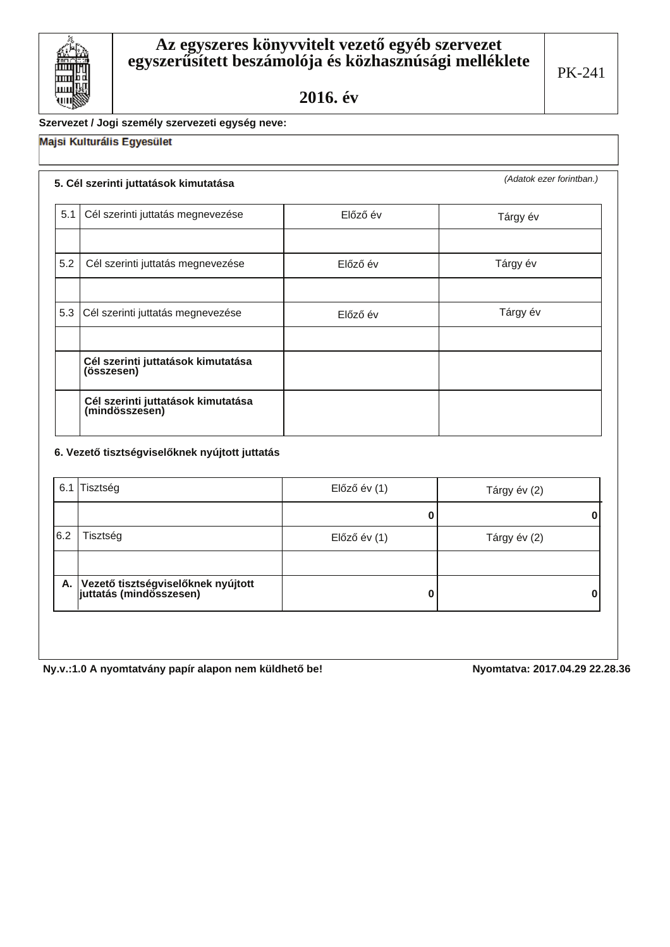### Szervezet / Jogi személy szervezeti egység neve:

# Majsi Kulturális Egyesület

### 5. Cél szerinti juttatások kimutatása

(Adatok ezer forintban.)

| 5.1 | Cél szerinti juttatás megnevezése                    | Előző év | Tárgy év |
|-----|------------------------------------------------------|----------|----------|
|     |                                                      |          |          |
| 5.2 | Cél szerinti juttatás megnevezése                    | Előző év | Tárgy év |
|     |                                                      |          |          |
|     | 5.3 Cél szerinti juttatás megnevezése                | Előző év | Tárgy év |
|     |                                                      |          |          |
|     | Cél szerinti juttatások kimutatása<br>(összesen)     |          |          |
|     | Cél szerinti juttatások kimutatása<br>(mindösszesen) |          |          |

### 6. Vezető tisztségviselőknek nyújtott juttatás

|     | 6.1 Tisztség                                                     | Előző év (1) | Tárgy év (2) |
|-----|------------------------------------------------------------------|--------------|--------------|
|     |                                                                  |              |              |
| 6.2 | Tisztség                                                         | Előző év (1) | Tárgy év (2) |
|     |                                                                  |              |              |
|     | A. Vezető tisztségviselőknek nyújtott<br>juttatás (mindösszesen) |              | 0            |
|     |                                                                  |              |              |

Ny.v.:1.0 A nyomtatvány papír alapon nem küldhető be!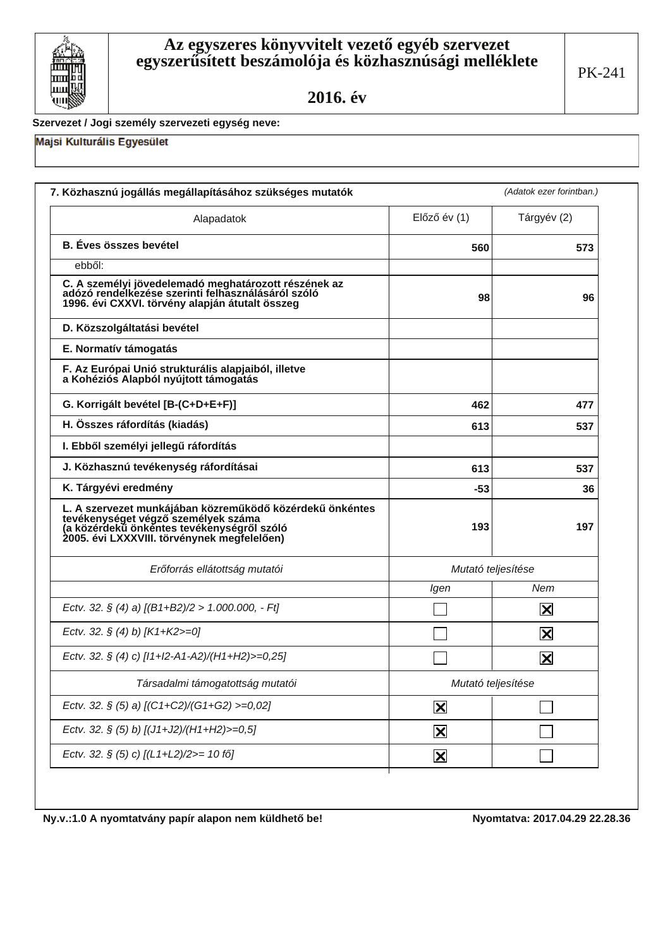

### Szervezet / Jogi személy szervezeti egység neve:

### Majsi Kulturális Egyesület

| Alapadatok                                                                                                                                                                                   | $El$ őző év $(1)$       | Tárgyév (2)             |
|----------------------------------------------------------------------------------------------------------------------------------------------------------------------------------------------|-------------------------|-------------------------|
| <b>B.</b> Éves összes bevétel                                                                                                                                                                | 560                     | 573                     |
| ebből:                                                                                                                                                                                       |                         |                         |
| C. A személyi jövedelemadó meghatározott részének az<br>adózó rendelkezése szerinti felhasználásáról szóló<br>1996. évi CXXVI. törvény alapján átutalt összeg                                | 98                      | 96                      |
| D. Közszolgáltatási bevétel                                                                                                                                                                  |                         |                         |
| E. Normatív támogatás                                                                                                                                                                        |                         |                         |
| F. Az Európai Unió strukturális alapjaiból, illetve<br>a Kohéziós Alapból nyújtott támogatás                                                                                                 |                         |                         |
| G. Korrigált bevétel [B-(C+D+E+F)]                                                                                                                                                           | 462                     | 477                     |
| H. Összes ráfordítás (kiadás)                                                                                                                                                                | 613                     | 537                     |
| I. Ebből személyi jellegű ráfordítás                                                                                                                                                         |                         |                         |
| J. Közhasznú tevékenység ráfordításai                                                                                                                                                        | 613                     | 537                     |
| K. Tárgyévi eredmény                                                                                                                                                                         | $-53$                   | 36                      |
| L. A szervezet munkájában közreműködő közérdekű önkéntes<br>tevékenységet végző személyek száma<br>(a közérdekű önkéntes tevékenységről szóló<br>2005. évi LXXXVIII. törvénynek megfelelően) | 193                     | 197                     |
| Erőforrás ellátottság mutatói                                                                                                                                                                | Mutató teljesítése      |                         |
|                                                                                                                                                                                              | Igen                    | Nem                     |
| Ectv. 32. § (4) a) $[(B1+B2)/2 > 1.000.000, -Ft]$                                                                                                                                            |                         | $ \mathsf{X} $          |
| Ectv. 32. § (4) b) $[K1+K2>=0]$                                                                                                                                                              |                         | $\overline{\mathbf{X}}$ |
| Ectv. 32. § (4) c) [I1+I2-A1-A2)/(H1+H2)>=0,25]                                                                                                                                              |                         | $ \mathsf{X} $          |
| Társadalmi támogatottság mutatói                                                                                                                                                             | Mutató teljesítése      |                         |
| Ectv. 32. § (5) a) [(C1+C2)/(G1+G2) >=0,02]                                                                                                                                                  | $\mathbf{\Sigma}$       |                         |
| Ectv. 32. § (5) b) [(J1+J2)/(H1+H2)>=0,5]                                                                                                                                                    | $\overline{\mathbf{X}}$ |                         |
| Ectv. 32. § (5) c) [(L1+L2)/2>= 10 fő]                                                                                                                                                       | $\mathbf{\overline{X}}$ |                         |

Ny.v.:1.0 A nyomtatvány papír alapon nem küldhető be!